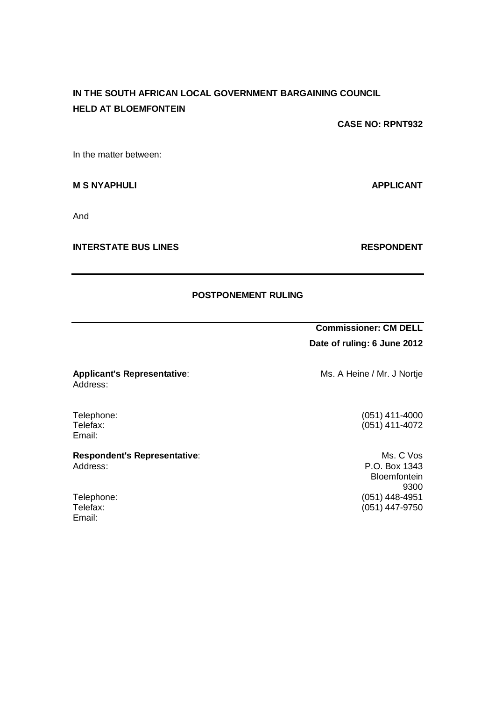# **IN THE SOUTH AFRICAN LOCAL GOVERNMENT BARGAINING COUNCIL HELD AT BLOEMFONTEIN**

**CASE NO: RPNT932**

In the matter between:

**M S NYAPHULI APPLICANT**

And

**INTERSTATE BUS LINES RESPONDENT** 

## **POSTPONEMENT RULING**

**Commissioner: CM DELL Date of ruling: 6 June 2012**

**Applicant's Representative:** Ms. A Heine / Mr. J Nortje

 $(051)$  411-4072

P.O. Box 1343 **Bloemfontein** 9300 Telephone: (051) 448-4951<br>Telefax: (051) 447-9750  $(051)$  447-9750

Email:

**Respondent's Representative:** Ms. C Vos<br>Address: P.O. Box 1343

Email:

Address:

Telephone: (051) 411-4000<br>Telefax: (051) 411-4072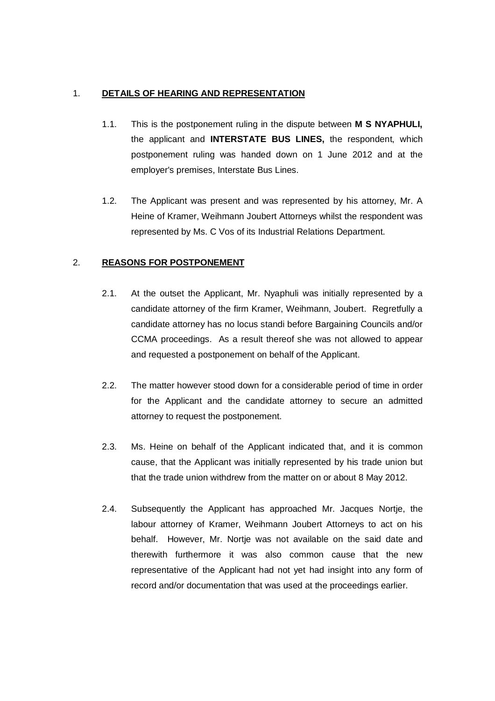## 1. **DETAILS OF HEARING AND REPRESENTATION**

- 1.1. This is the postponement ruling in the dispute between **M S NYAPHULI,**  the applicant and **INTERSTATE BUS LINES,** the respondent, which postponement ruling was handed down on 1 June 2012 and at the employer's premises, Interstate Bus Lines.
- 1.2. The Applicant was present and was represented by his attorney, Mr. A Heine of Kramer, Weihmann Joubert Attorneys whilst the respondent was represented by Ms. C Vos of its Industrial Relations Department.

## 2. **REASONS FOR POSTPONEMENT**

- 2.1. At the outset the Applicant, Mr. Nyaphuli was initially represented by a candidate attorney of the firm Kramer, Weihmann, Joubert. Regretfully a candidate attorney has no locus standi before Bargaining Councils and/or CCMA proceedings. As a result thereof she was not allowed to appear and requested a postponement on behalf of the Applicant.
- 2.2. The matter however stood down for a considerable period of time in order for the Applicant and the candidate attorney to secure an admitted attorney to request the postponement.
- 2.3. Ms. Heine on behalf of the Applicant indicated that, and it is common cause, that the Applicant was initially represented by his trade union but that the trade union withdrew from the matter on or about 8 May 2012.
- 2.4. Subsequently the Applicant has approached Mr. Jacques Nortje, the labour attorney of Kramer, Weihmann Joubert Attorneys to act on his behalf. However, Mr. Nortje was not available on the said date and therewith furthermore it was also common cause that the new representative of the Applicant had not yet had insight into any form of record and/or documentation that was used at the proceedings earlier.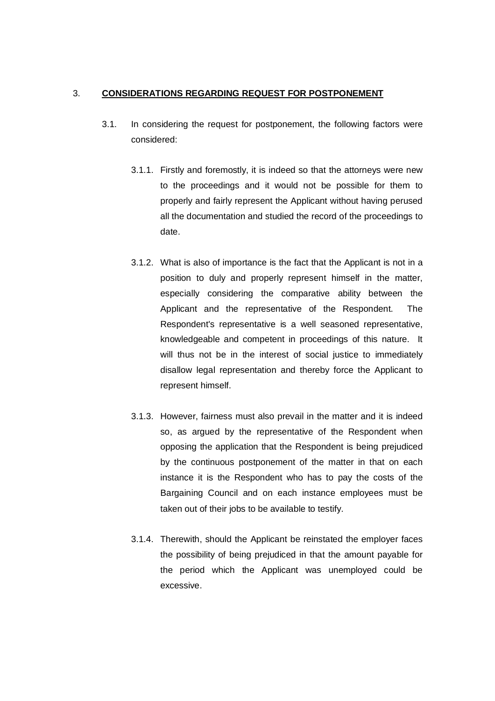#### 3. **CONSIDERATIONS REGARDING REQUEST FOR POSTPONEMENT**

- 3.1. In considering the request for postponement, the following factors were considered:
	- 3.1.1. Firstly and foremostly, it is indeed so that the attorneys were new to the proceedings and it would not be possible for them to properly and fairly represent the Applicant without having perused all the documentation and studied the record of the proceedings to date.
	- 3.1.2. What is also of importance is the fact that the Applicant is not in a position to duly and properly represent himself in the matter, especially considering the comparative ability between the Applicant and the representative of the Respondent. The Respondent's representative is a well seasoned representative, knowledgeable and competent in proceedings of this nature. It will thus not be in the interest of social justice to immediately disallow legal representation and thereby force the Applicant to represent himself.
	- 3.1.3. However, fairness must also prevail in the matter and it is indeed so, as argued by the representative of the Respondent when opposing the application that the Respondent is being prejudiced by the continuous postponement of the matter in that on each instance it is the Respondent who has to pay the costs of the Bargaining Council and on each instance employees must be taken out of their jobs to be available to testify.
	- 3.1.4. Therewith, should the Applicant be reinstated the employer faces the possibility of being prejudiced in that the amount payable for the period which the Applicant was unemployed could be excessive.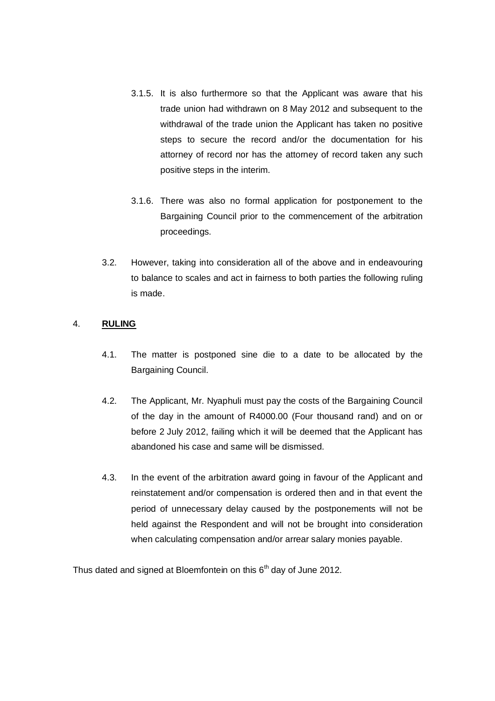- 3.1.5. It is also furthermore so that the Applicant was aware that his trade union had withdrawn on 8 May 2012 and subsequent to the withdrawal of the trade union the Applicant has taken no positive steps to secure the record and/or the documentation for his attorney of record nor has the attorney of record taken any such positive steps in the interim.
- 3.1.6. There was also no formal application for postponement to the Bargaining Council prior to the commencement of the arbitration proceedings.
- 3.2. However, taking into consideration all of the above and in endeavouring to balance to scales and act in fairness to both parties the following ruling is made.

#### 4. **RULING**

- 4.1. The matter is postponed sine die to a date to be allocated by the Bargaining Council.
- 4.2. The Applicant, Mr. Nyaphuli must pay the costs of the Bargaining Council of the day in the amount of R4000.00 (Four thousand rand) and on or before 2 July 2012, failing which it will be deemed that the Applicant has abandoned his case and same will be dismissed.
- 4.3. In the event of the arbitration award going in favour of the Applicant and reinstatement and/or compensation is ordered then and in that event the period of unnecessary delay caused by the postponements will not be held against the Respondent and will not be brought into consideration when calculating compensation and/or arrear salary monies payable.

Thus dated and signed at Bloemfontein on this 6<sup>th</sup> day of June 2012.